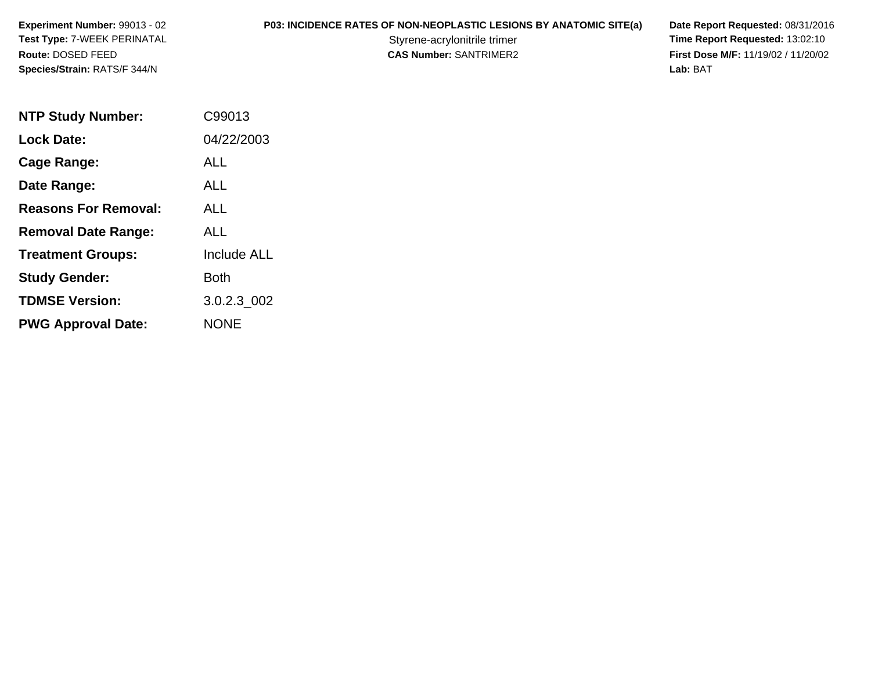# **P03: INCIDENCE RATES OF NON-NEOPLASTIC LESIONS BY ANATOMIC SITE(a) Date Report Requested: 08/31/2016<br>Styrene-acrylonitrile trimer <b>Time Report Requested: 13:02:10**

Styrene-acrylonitrile trimer<br>
CAS Number: SANTRIMER2<br> **CAS Number:** SANTRIMER2<br> **Time Report Requested:** 13:02:10 **First Dose M/F:** 11/19/02 / 11/20/02<br>Lab: BAT **Lab:** BAT

| <b>NTP Study Number:</b>    | C99013             |
|-----------------------------|--------------------|
| Lock Date:                  | 04/22/2003         |
| Cage Range:                 | ALL                |
| Date Range:                 | AI I               |
| <b>Reasons For Removal:</b> | <b>ALL</b>         |
| <b>Removal Date Range:</b>  | ALL                |
| <b>Treatment Groups:</b>    | <b>Include ALL</b> |
| <b>Study Gender:</b>        | Both               |
| <b>TDMSE Version:</b>       | 3.0.2.3 002        |
| <b>PWG Approval Date:</b>   | <b>NONE</b>        |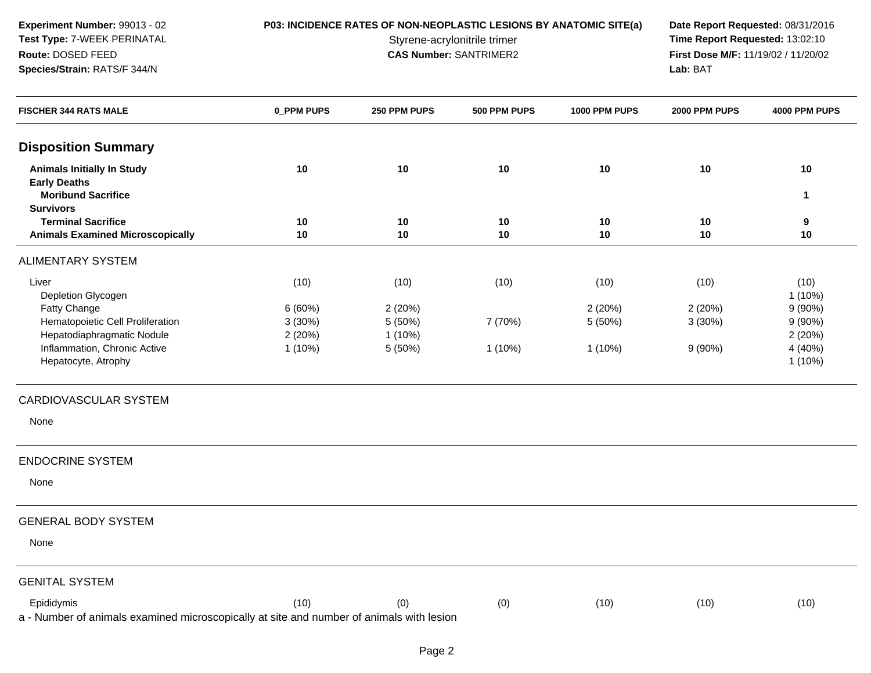**P03: INCIDENCE RATES OF NON-NEOPLASTIC LESIONS BY ANATOMIC SITE(a) Date Report Requested: 08/31/2016<br>Styrene-acrylonitrile trimer <b>Time Report Requested: 13:02:10** Styrene-acrylonitrile trimer<br>
CAS Number: SANTRIMER2<br>
CAS Number: SANTRIMER2<br> **Time Report Requested:** 13:02:10 **First Dose M/F:** 11/19/02 / 11/20/02<br>Lab: BAT **Lab:** BAT

| <b>FISCHER 344 RATS MALE</b>                                                                           | 0_PPM PUPS | 250 PPM PUPS | 500 PPM PUPS | 1000 PPM PUPS | 2000 PPM PUPS | 4000 PPM PUPS        |
|--------------------------------------------------------------------------------------------------------|------------|--------------|--------------|---------------|---------------|----------------------|
| <b>Disposition Summary</b>                                                                             |            |              |              |               |               |                      |
| <b>Animals Initially In Study</b>                                                                      | 10         | 10           | 10           | 10            | 10            | 10                   |
| <b>Early Deaths</b><br><b>Moribund Sacrifice</b>                                                       |            |              |              |               |               | $\mathbf{1}$         |
| <b>Survivors</b><br><b>Terminal Sacrifice</b>                                                          | 10         | 10           | 10           | 10            | 10            | 9                    |
| <b>Animals Examined Microscopically</b>                                                                | 10         | 10           | 10           | 10            | 10            | 10                   |
| <b>ALIMENTARY SYSTEM</b>                                                                               |            |              |              |               |               |                      |
| Liver                                                                                                  | (10)       | (10)         | (10)         | (10)          | (10)          | (10)                 |
| Depletion Glycogen<br>Fatty Change                                                                     | 6(60%)     | 2 (20%)      |              | 2(20%)        | 2(20%)        | $1(10\%)$<br>9(90%)  |
| Hematopoietic Cell Proliferation                                                                       | 3(30%)     | 5 (50%)      | 7 (70%)      | 5 (50%)       | 3(30%)        | 9(90%)               |
| Hepatodiaphragmatic Nodule                                                                             | 2(20%)     | 1 (10%)      |              |               |               | 2(20%)               |
| Inflammation, Chronic Active<br>Hepatocyte, Atrophy                                                    | $1(10\%)$  | 5 (50%)      | 1 (10%)      | $1(10\%)$     | 9(90%)        | 4 (40%)<br>$1(10\%)$ |
| CARDIOVASCULAR SYSTEM                                                                                  |            |              |              |               |               |                      |
| None                                                                                                   |            |              |              |               |               |                      |
| <b>ENDOCRINE SYSTEM</b>                                                                                |            |              |              |               |               |                      |
| None                                                                                                   |            |              |              |               |               |                      |
| <b>GENERAL BODY SYSTEM</b>                                                                             |            |              |              |               |               |                      |
| None                                                                                                   |            |              |              |               |               |                      |
| <b>GENITAL SYSTEM</b>                                                                                  |            |              |              |               |               |                      |
| Epididymis<br>a - Number of animals examined microscopically at site and number of animals with lesion | (10)       | (0)          | (0)          | (10)          | (10)          | (10)                 |
|                                                                                                        |            |              |              |               |               |                      |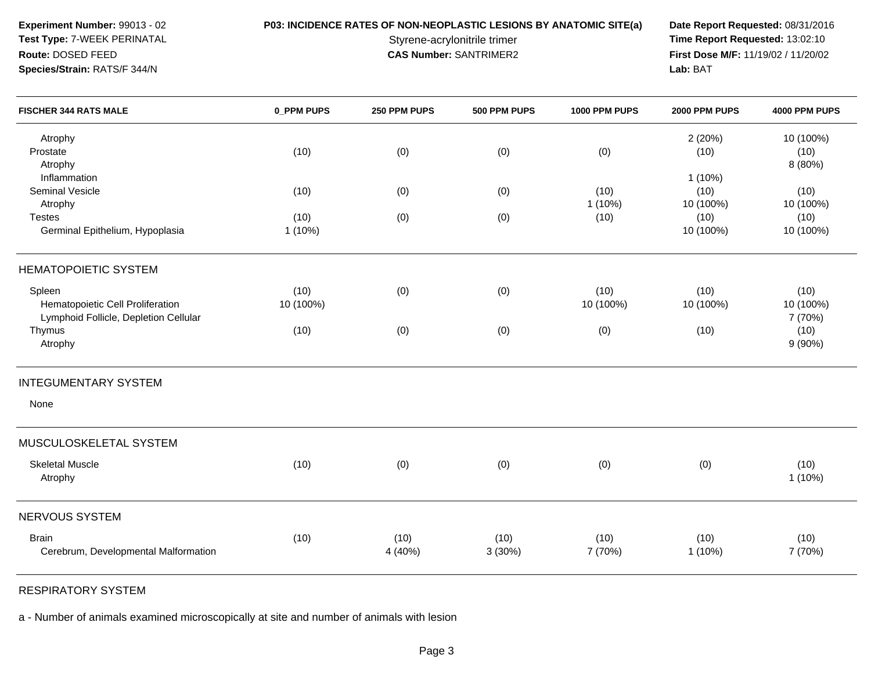**P03: INCIDENCE RATES OF NON-NEOPLASTIC LESIONS BY ANATOMIC SITE(a) Date Report Requested: 08/31/2016<br>Styrene-acrylonitrile trimer <b>Time Report Requested:** 13:02:10 Styrene-acrylonitrile trimer<br> **CAS Number:** SANTRIMER2<br> **CAS Number:** SANTRIMER2<br> **Time Report Requested:** 13:02:10 **First Dose M/F:** 11/19/02 / 11/20/02 Lab: BAT **Lab:** BAT

| <b>FISCHER 344 RATS MALE</b>          | 0_PPM PUPS | 250 PPM PUPS | 500 PPM PUPS | 1000 PPM PUPS | 2000 PPM PUPS | 4000 PPM PUPS |
|---------------------------------------|------------|--------------|--------------|---------------|---------------|---------------|
| Atrophy                               |            |              |              |               | 2(20%)        | 10 (100%)     |
| Prostate                              | (10)       | (0)          | (0)          | (0)           | (10)          | (10)          |
| Atrophy                               |            |              |              |               |               | 8 (80%)       |
| Inflammation                          |            |              |              |               | $1(10\%)$     |               |
| <b>Seminal Vesicle</b>                | (10)       | (0)          | (0)          | (10)          | (10)          | (10)          |
| Atrophy                               |            |              |              | $1(10\%)$     | 10 (100%)     | 10 (100%)     |
| <b>Testes</b>                         | (10)       | (0)          | (0)          | (10)          | (10)          | (10)          |
| Germinal Epithelium, Hypoplasia       | $1(10\%)$  |              |              |               | 10 (100%)     | 10 (100%)     |
| <b>HEMATOPOIETIC SYSTEM</b>           |            |              |              |               |               |               |
| Spleen                                | (10)       | (0)          | (0)          | (10)          | (10)          | (10)          |
| Hematopoietic Cell Proliferation      | 10 (100%)  |              |              | 10 (100%)     | 10 (100%)     | 10 (100%)     |
| Lymphoid Follicle, Depletion Cellular |            |              |              |               |               | 7 (70%)       |
| Thymus                                | (10)       | (0)          | (0)          | (0)           | (10)          | (10)          |
| Atrophy                               |            |              |              |               |               | $9(90\%)$     |
|                                       |            |              |              |               |               |               |
| <b>INTEGUMENTARY SYSTEM</b>           |            |              |              |               |               |               |
| None                                  |            |              |              |               |               |               |
| MUSCULOSKELETAL SYSTEM                |            |              |              |               |               |               |
| <b>Skeletal Muscle</b>                | (10)       | (0)          | (0)          | (0)           | (0)           | (10)          |
| Atrophy                               |            |              |              |               |               | $1(10\%)$     |
| NERVOUS SYSTEM                        |            |              |              |               |               |               |
| <b>Brain</b>                          | (10)       | (10)         | (10)         | (10)          | (10)          | (10)          |
| Cerebrum, Developmental Malformation  |            | 4 (40%)      | 3(30%)       | 7 (70%)       | $1(10\%)$     | 7 (70%)       |
|                                       |            |              |              |               |               |               |

RESPIRATORY SYSTEM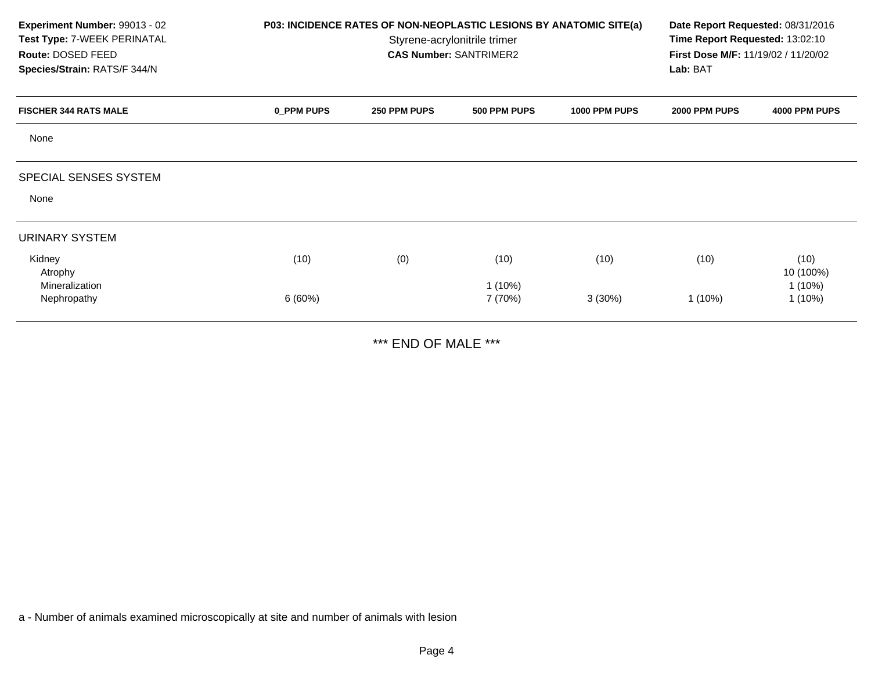| Experiment Number: 99013 - 02<br>Test Type: 7-WEEK PERINATAL<br>Route: DOSED FEED<br>Species/Strain: RATS/F 344/N | P03: INCIDENCE RATES OF NON-NEOPLASTIC LESIONS BY ANATOMIC SITE(a)<br>Styrene-acrylonitrile trimer<br><b>CAS Number: SANTRIMER2</b> |              |                      |               | Date Report Requested: 08/31/2016<br>Time Report Requested: 13:02:10<br>First Dose M/F: 11/19/02 / 11/20/02<br>Lab: BAT |                        |  |
|-------------------------------------------------------------------------------------------------------------------|-------------------------------------------------------------------------------------------------------------------------------------|--------------|----------------------|---------------|-------------------------------------------------------------------------------------------------------------------------|------------------------|--|
| <b>FISCHER 344 RATS MALE</b>                                                                                      | 0_PPM PUPS                                                                                                                          | 250 PPM PUPS | 500 PPM PUPS         | 1000 PPM PUPS | 2000 PPM PUPS                                                                                                           | 4000 PPM PUPS          |  |
| None                                                                                                              |                                                                                                                                     |              |                      |               |                                                                                                                         |                        |  |
| SPECIAL SENSES SYSTEM                                                                                             |                                                                                                                                     |              |                      |               |                                                                                                                         |                        |  |
| None                                                                                                              |                                                                                                                                     |              |                      |               |                                                                                                                         |                        |  |
| <b>URINARY SYSTEM</b>                                                                                             |                                                                                                                                     |              |                      |               |                                                                                                                         |                        |  |
| Kidney<br>Atrophy                                                                                                 | (10)                                                                                                                                | (0)          | (10)                 | (10)          | (10)                                                                                                                    | (10)<br>10 (100%)      |  |
| Mineralization<br>Nephropathy                                                                                     | 6(60%)                                                                                                                              |              | $1(10\%)$<br>7 (70%) | 3(30%)        | $1(10\%)$                                                                                                               | $1(10\%)$<br>$1(10\%)$ |  |

\*\*\* END OF MALE \*\*\*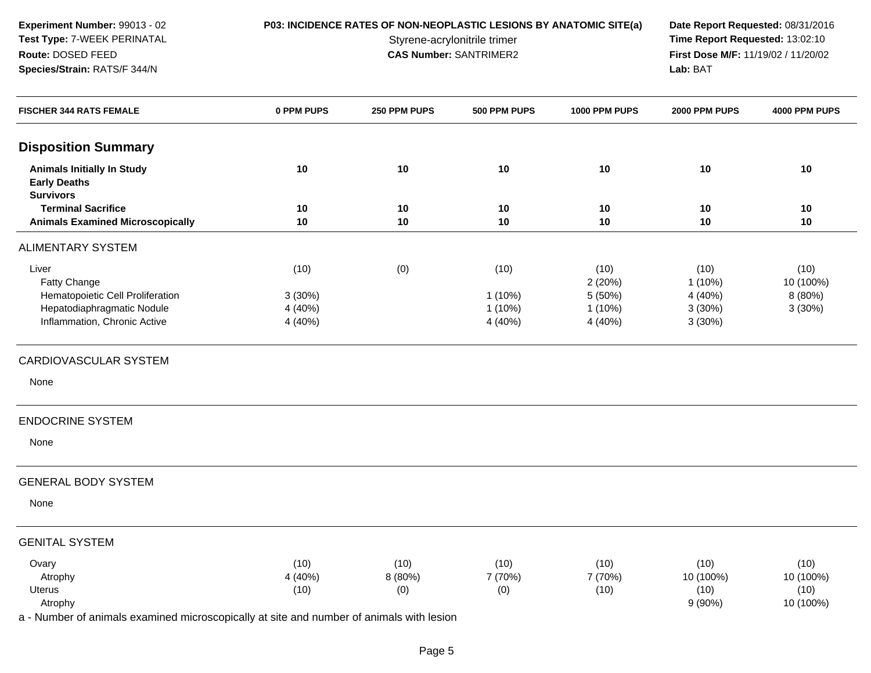**P03: INCIDENCE RATES OF NON-NEOPLASTIC LESIONS BY ANATOMIC SITE(a) Date Report Requested: 08/31/2016<br>Styrene-acrylonitrile trimer <b>Time Report Requested:** 13:02:10 Styrene-acrylonitrile trimer<br> **CAS Number:** SANTRIMER2<br> **CAS Number:** SANTRIMER2<br> **Time Report Requested:** 13:02:10 **First Dose M/F:** 11/19/02 / 11/20/02 Lab: BAT **Lab:** BAT

| <b>FISCHER 344 RATS FEMALE</b>                           | 0 PPM PUPS | 250 PPM PUPS | 500 PPM PUPS | 1000 PPM PUPS | 2000 PPM PUPS | 4000 PPM PUPS |
|----------------------------------------------------------|------------|--------------|--------------|---------------|---------------|---------------|
| <b>Disposition Summary</b>                               |            |              |              |               |               |               |
| <b>Animals Initially In Study</b><br><b>Early Deaths</b> | 10         | 10           | 10           | 10            | 10            | 10            |
| <b>Survivors</b><br><b>Terminal Sacrifice</b>            | 10         | 10           | 10           | 10            | 10            | 10            |
| <b>Animals Examined Microscopically</b>                  | 10         | 10           | 10           | 10            | 10            | 10            |
| <b>ALIMENTARY SYSTEM</b>                                 |            |              |              |               |               |               |
| Liver                                                    | (10)       | (0)          | (10)         | (10)          | (10)          | (10)          |
| Fatty Change                                             |            |              |              | 2(20%)        | $1(10\%)$     | 10 (100%)     |
| Hematopoietic Cell Proliferation                         | 3 (30%)    |              | $1(10\%)$    | 5 (50%)       | 4 (40%)       | 8 (80%)       |
| Hepatodiaphragmatic Nodule                               | 4 (40%)    |              | $1(10\%)$    | $1(10\%)$     | 3(30%)        | 3(30%)        |
| Inflammation, Chronic Active                             | 4 (40%)    |              | 4 (40%)      | 4 (40%)       | 3(30%)        |               |
| CARDIOVASCULAR SYSTEM                                    |            |              |              |               |               |               |
| None                                                     |            |              |              |               |               |               |
| <b>ENDOCRINE SYSTEM</b>                                  |            |              |              |               |               |               |
| None                                                     |            |              |              |               |               |               |
| <b>GENERAL BODY SYSTEM</b>                               |            |              |              |               |               |               |
| None                                                     |            |              |              |               |               |               |
| <b>GENITAL SYSTEM</b>                                    |            |              |              |               |               |               |
| Ovary                                                    | (10)       | (10)         | (10)         | (10)          | (10)          | (10)          |
| Atrophy                                                  | 4 (40%)    | 8 (80%)      | 7 (70%)      | 7 (70%)       | 10 (100%)     | 10 (100%)     |
| Uterus                                                   | (10)       | (0)          | (0)          | (10)          | (10)          | (10)          |
| Atrophy                                                  |            |              |              |               | $9(90\%)$     | 10 (100%)     |
|                                                          |            |              |              |               |               |               |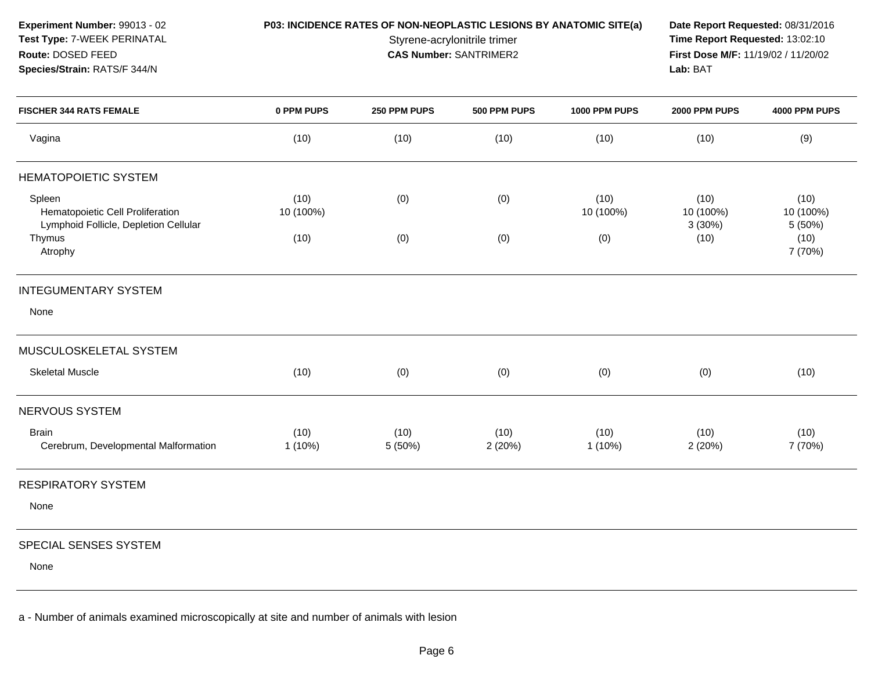**P03: INCIDENCE RATES OF NON-NEOPLASTIC LESIONS BY ANATOMIC SITE(a) Date Report Requested: 08/31/2016<br>Styrene-acrylonitrile trimer <b>Time Report Requested:** 13:02:10 **Time Report Requested: 13:02:10 CAS Number:** SANTRIMER2 **First Dose M/F:** 11/19/02 / 11/20/02 **Lab:** BAT

| <b>FISCHER 344 RATS FEMALE</b>                                                      | 0 PPM PUPS        | 250 PPM PUPS    | 500 PPM PUPS   | 1000 PPM PUPS     | 2000 PPM PUPS               | 4000 PPM PUPS                |
|-------------------------------------------------------------------------------------|-------------------|-----------------|----------------|-------------------|-----------------------------|------------------------------|
| Vagina                                                                              | (10)              | (10)            | (10)           | (10)              | (10)                        | (9)                          |
| <b>HEMATOPOIETIC SYSTEM</b>                                                         |                   |                 |                |                   |                             |                              |
| Spleen<br>Hematopoietic Cell Proliferation<br>Lymphoid Follicle, Depletion Cellular | (10)<br>10 (100%) | (0)             | (0)            | (10)<br>10 (100%) | (10)<br>10 (100%)<br>3(30%) | (10)<br>10 (100%)<br>5 (50%) |
| Thymus<br>Atrophy                                                                   | (10)              | (0)             | (0)            | (0)               | (10)                        | (10)<br>7 (70%)              |
| <b>INTEGUMENTARY SYSTEM</b>                                                         |                   |                 |                |                   |                             |                              |
| None                                                                                |                   |                 |                |                   |                             |                              |
| MUSCULOSKELETAL SYSTEM                                                              |                   |                 |                |                   |                             |                              |
| <b>Skeletal Muscle</b>                                                              | (10)              | (0)             | (0)            | (0)               | (0)                         | (10)                         |
| NERVOUS SYSTEM                                                                      |                   |                 |                |                   |                             |                              |
| <b>Brain</b><br>Cerebrum, Developmental Malformation                                | (10)<br>$1(10\%)$ | (10)<br>5 (50%) | (10)<br>2(20%) | (10)<br>$1(10\%)$ | (10)<br>2(20%)              | (10)<br>7 (70%)              |
| <b>RESPIRATORY SYSTEM</b>                                                           |                   |                 |                |                   |                             |                              |
| None                                                                                |                   |                 |                |                   |                             |                              |
| SPECIAL SENSES SYSTEM                                                               |                   |                 |                |                   |                             |                              |

None